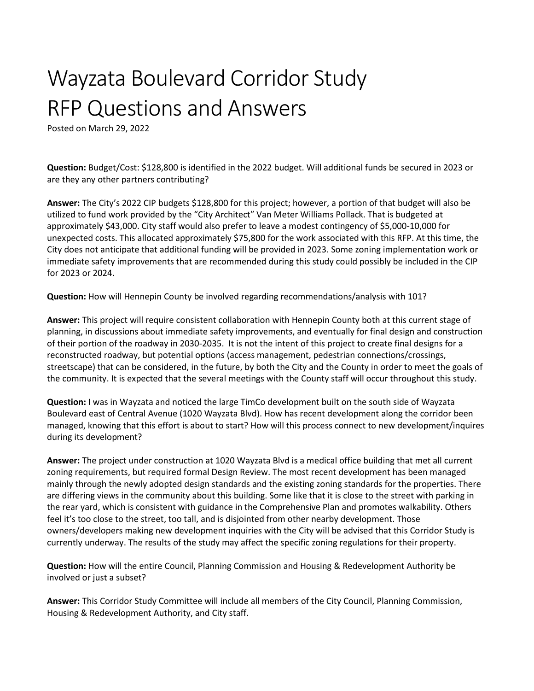## Wayzata Boulevard Corridor Study RFP Questions and Answers

Posted on March 29, 2022

**Question:** Budget/Cost: \$128,800 is identified in the 2022 budget. Will additional funds be secured in 2023 or are they any other partners contributing?

**Answer:** The City's 2022 CIP budgets \$128,800 for this project; however, a portion of that budget will also be utilized to fund work provided by the "City Architect" Van Meter Williams Pollack. That is budgeted at approximately \$43,000. City staff would also prefer to leave a modest contingency of \$5,000-10,000 for unexpected costs. This allocated approximately \$75,800 for the work associated with this RFP. At this time, the City does not anticipate that additional funding will be provided in 2023. Some zoning implementation work or immediate safety improvements that are recommended during this study could possibly be included in the CIP for 2023 or 2024.

**Question:** How will Hennepin County be involved regarding recommendations/analysis with 101?

**Answer:** This project will require consistent collaboration with Hennepin County both at this current stage of planning, in discussions about immediate safety improvements, and eventually for final design and construction of their portion of the roadway in 2030-2035. It is not the intent of this project to create final designs for a reconstructed roadway, but potential options (access management, pedestrian connections/crossings, streetscape) that can be considered, in the future, by both the City and the County in order to meet the goals of the community. It is expected that the several meetings with the County staff will occur throughout this study.

**Question:** I was in Wayzata and noticed the large TimCo development built on the south side of Wayzata Boulevard east of Central Avenue (1020 Wayzata Blvd). How has recent development along the corridor been managed, knowing that this effort is about to start? How will this process connect to new development/inquires during its development?

**Answer:** The project under construction at 1020 Wayzata Blvd is a medical office building that met all current zoning requirements, but required formal Design Review. The most recent development has been managed mainly through the newly adopted design standards and the existing zoning standards for the properties. There are differing views in the community about this building. Some like that it is close to the street with parking in the rear yard, which is consistent with guidance in the Comprehensive Plan and promotes walkability. Others feel it's too close to the street, too tall, and is disjointed from other nearby development. Those owners/developers making new development inquiries with the City will be advised that this Corridor Study is currently underway. The results of the study may affect the specific zoning regulations for their property.

**Question:** How will the entire Council, Planning Commission and Housing & Redevelopment Authority be involved or just a subset?

**Answer:** This Corridor Study Committee will include all members of the City Council, Planning Commission, Housing & Redevelopment Authority, and City staff.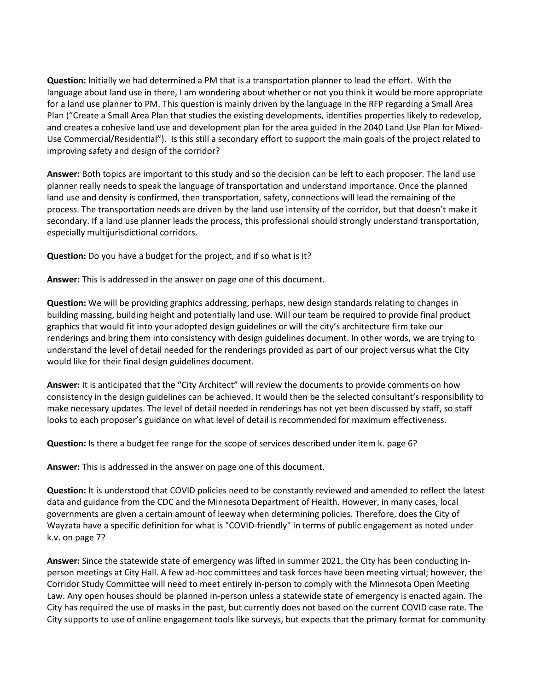**Question:** Initially we had determined a PM that is a transportation planner to lead the effort. With the language about land use in there, I am wondering about whether or not you think it would be more appropriate for a land use planner to PM. This question is mainly driven by the language in the RFP regarding a Small Area Plan ("Create a Small Area Plan that studies the existing developments, identifies properties likely to redevelop, and creates a cohesive land use and development plan for the area guided in the 2040 Land Use Plan for Mixed-Use Commercial/Residential"). Is this still a secondary effort to support the main goals of the project related to improving safety and design of the corridor?

**Answer:** Both topics are important to this study and so the decision can be left to each proposer. The land use planner really needs to speak the language of transportation and understand importance. Once the planned land use and density is confirmed, then transportation, safety, connections will lead the remaining of the process. The transportation needs are driven by the land use intensity of the corridor, but that doesn't make it secondary. If a land use planner leads the process, this professional should strongly understand transportation, especially multijurisdictional corridors.

**Question:** Do you have a budget for the project, and if so what is it?

**Answer:** This is addressed in the answer on page one of this document.

**Question:** We will be providing graphics addressing, perhaps, new design standards relating to changes in building massing, building height and potentially land use. Will our team be required to provide final product graphics that would fit into your adopted design guidelines or will the city's architecture firm take our renderings and bring them into consistency with design guidelines document. In other words, we are trying to understand the level of detail needed for the renderings provided as part of our project versus what the City would like for their final design guidelines document.

**Answer:** It is anticipated that the "City Architect" will review the documents to provide comments on how consistency in the design guidelines can be achieved. It would then be the selected consultant's responsibility to make necessary updates. The level of detail needed in renderings has not yet been discussed by staff, so staff looks to each proposer's guidance on what level of detail is recommended for maximum effectiveness.

**Question:** Is there a budget fee range for the scope of services described under item k. page 6?

**Answer:** This is addressed in the answer on page one of this document.

**Question:** It is understood that COVID policies need to be constantly reviewed and amended to reflect the latest data and guidance from the CDC and the Minnesota Department of Health. However, in many cases, local governments are given a certain amount of leeway when determining policies. Therefore, does the City of Wayzata have a specific definition for what is "COVID-friendly" in terms of public engagement as noted under k.v. on page 7?

**Answer:** Since the statewide state of emergency was lifted in summer 2021, the City has been conducting inperson meetings at City Hall. A few ad-hoc committees and task forces have been meeting virtual; however, the Corridor Study Committee will need to meet entirely in-person to comply with the Minnesota Open Meeting Law. Any open houses should be planned in-person unless a statewide state of emergency is enacted again. The City has required the use of masks in the past, but currently does not based on the current COVID case rate. The City supports to use of online engagement tools like surveys, but expects that the primary format for community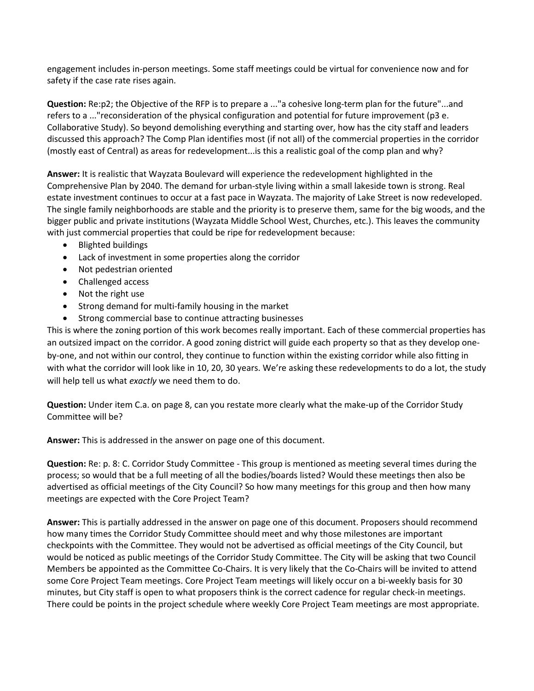engagement includes in-person meetings. Some staff meetings could be virtual for convenience now and for safety if the case rate rises again.

**Question:** Re:p2; the Objective of the RFP is to prepare a ..."a cohesive long-term plan for the future"...and refers to a ..."reconsideration of the physical configuration and potential for future improvement (p3 e. Collaborative Study). So beyond demolishing everything and starting over, how has the city staff and leaders discussed this approach? The Comp Plan identifies most (if not all) of the commercial properties in the corridor (mostly east of Central) as areas for redevelopment...is this a realistic goal of the comp plan and why?

**Answer:** It is realistic that Wayzata Boulevard will experience the redevelopment highlighted in the Comprehensive Plan by 2040. The demand for urban-style living within a small lakeside town is strong. Real estate investment continues to occur at a fast pace in Wayzata. The majority of Lake Street is now redeveloped. The single family neighborhoods are stable and the priority is to preserve them, same for the big woods, and the bigger public and private institutions (Wayzata Middle School West, Churches, etc.). This leaves the community with just commercial properties that could be ripe for redevelopment because:

- Blighted buildings
- Lack of investment in some properties along the corridor
- Not pedestrian oriented
- Challenged access
- Not the right use
- Strong demand for multi-family housing in the market
- Strong commercial base to continue attracting businesses

This is where the zoning portion of this work becomes really important. Each of these commercial properties has an outsized impact on the corridor. A good zoning district will guide each property so that as they develop oneby-one, and not within our control, they continue to function within the existing corridor while also fitting in with what the corridor will look like in 10, 20, 30 years. We're asking these redevelopments to do a lot, the study will help tell us what *exactly* we need them to do.

**Question:** Under item C.a. on page 8, can you restate more clearly what the make-up of the Corridor Study Committee will be?

**Answer:** This is addressed in the answer on page one of this document.

**Question:** Re: p. 8: C. Corridor Study Committee - This group is mentioned as meeting several times during the process; so would that be a full meeting of all the bodies/boards listed? Would these meetings then also be advertised as official meetings of the City Council? So how many meetings for this group and then how many meetings are expected with the Core Project Team?

**Answer:** This is partially addressed in the answer on page one of this document. Proposers should recommend how many times the Corridor Study Committee should meet and why those milestones are important checkpoints with the Committee. They would not be advertised as official meetings of the City Council, but would be noticed as public meetings of the Corridor Study Committee. The City will be asking that two Council Members be appointed as the Committee Co-Chairs. It is very likely that the Co-Chairs will be invited to attend some Core Project Team meetings. Core Project Team meetings will likely occur on a bi-weekly basis for 30 minutes, but City staff is open to what proposers think is the correct cadence for regular check-in meetings. There could be points in the project schedule where weekly Core Project Team meetings are most appropriate.